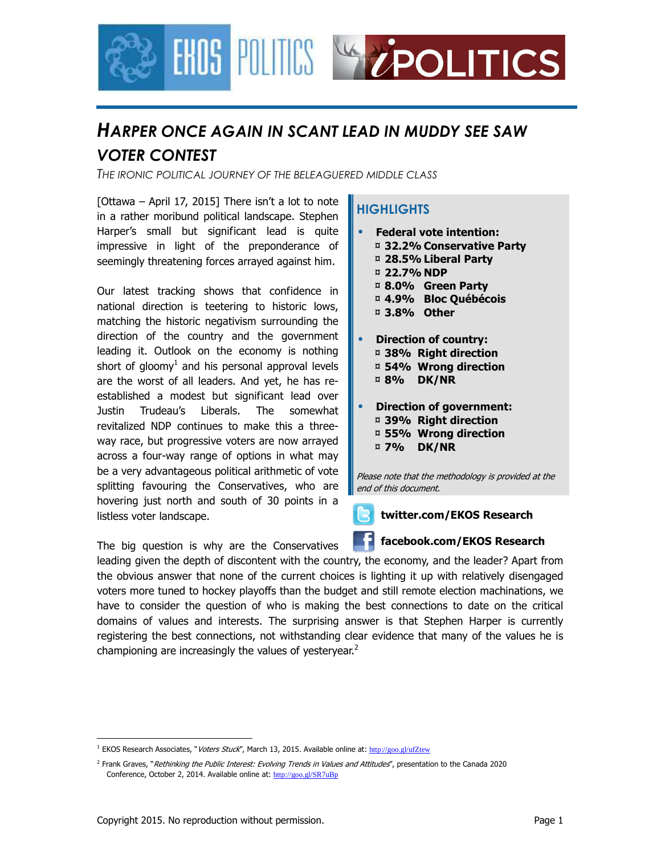

# *HARPER ONCE AGAIN IN SCANT LEAD IN MUDDY SEE SAW VOTER CONTEST*

*THE IRONIC POLITICAL JOURNEY OF THE BELEAGUERED MIDDLE CLASS*

[Ottawa – April 17, 2015] There isn't a lot to note in a rather moribund political landscape. Stephen Harper's small but significant lead is quite impressive in light of the preponderance of seemingly threatening forces arrayed against him.

Our latest tracking shows that confidence in national direction is teetering to historic lows, matching the historic negativism surrounding the direction of the country and the government leading it. Outlook on the economy is nothing short of gloomy<sup>1</sup> and his personal approval levels are the worst of all leaders. And yet, he has reestablished a modest but significant lead over Justin Trudeau's Liberals. The somewhat revitalized NDP continues to make this a threeway race, but progressive voters are now arrayed across a four-way range of options in what may be a very advantageous political arithmetic of vote splitting favouring the Conservatives, who are hovering just north and south of 30 points in a listless voter landscape.

The big question is why are the Conservatives

### **HIGHLIGHTS**

- **Federal vote intention:**  ¤ **32.2% Conservative Party** 
	- ¤ **28.5% Liberal Party**
	- ¤ **22.7% NDP**
	- ¤ **8.0% Green Party**
	- ¤ **4.9% Bloc Québécois**
	- ¤ **3.8% Other**
- **Direction of country:**  ¤ **38% Right direction**  ¤ **54% Wrong direction**  ¤ **8% DK/NR**
- **Direction of government:**  ¤ **39% Right direction**  ¤ **55% Wrong direction**  ¤ **7% DK/NR**

Please note that the methodology is provided at the end of this document.



#### **twitter.com/EKOS Research**

#### **facebook.com/EKOS Research**

leading given the depth of discontent with the country, the economy, and the leader? Apart from the obvious answer that none of the current choices is lighting it up with relatively disengaged voters more tuned to hockey playoffs than the budget and still remote election machinations, we have to consider the question of who is making the best connections to date on the critical domains of values and interests. The surprising answer is that Stephen Harper is currently registering the best connections, not withstanding clear evidence that many of the values he is championing are increasingly the values of yesteryear.<sup>2</sup>

<sup>&</sup>lt;u>.</u> <sup>1</sup> EKOS Research Associates, "Voters Stuck", March 13, 2015. Available online at: http://goo.gl/ufZtew

<sup>&</sup>lt;sup>2</sup> Frank Graves, "Rethinking the Public Interest: Evolving Trends in Values and Attitudes", presentation to the Canada 2020 Conference, October 2, 2014. Available online at: http://goo.gl/SR7uBp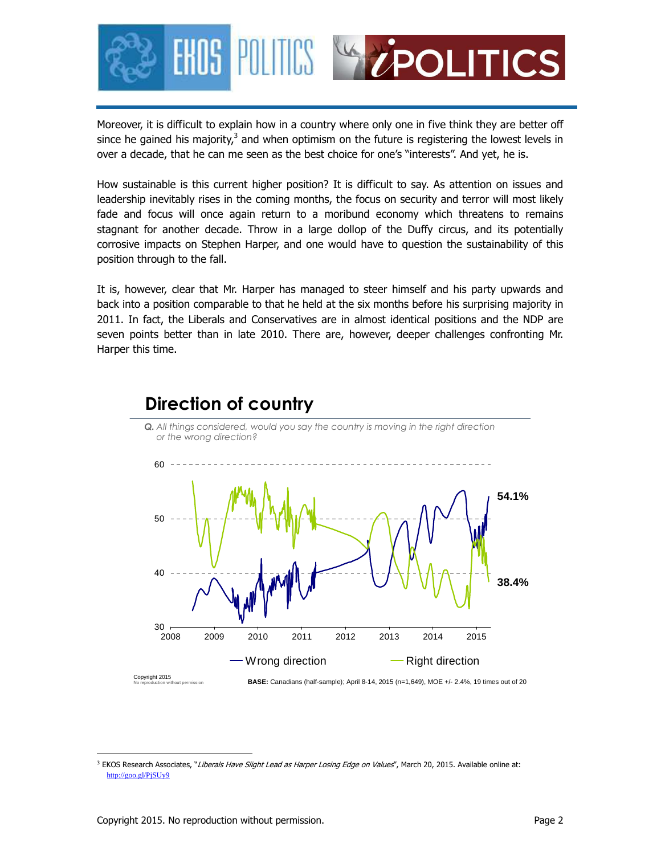

Moreover, it is difficult to explain how in a country where only one in five think they are better off since he gained his majority,<sup>3</sup> and when optimism on the future is registering the lowest levels in over a decade, that he can me seen as the best choice for one's "interests". And yet, he is.

How sustainable is this current higher position? It is difficult to say. As attention on issues and leadership inevitably rises in the coming months, the focus on security and terror will most likely fade and focus will once again return to a moribund economy which threatens to remains stagnant for another decade. Throw in a large dollop of the Duffy circus, and its potentially corrosive impacts on Stephen Harper, and one would have to question the sustainability of this position through to the fall.

It is, however, clear that Mr. Harper has managed to steer himself and his party upwards and back into a position comparable to that he held at the six months before his surprising majority in 2011. In fact, the Liberals and Conservatives are in almost identical positions and the NDP are seven points better than in late 2010. There are, however, deeper challenges confronting Mr. Harper this time.

*Q. All things considered, would you say the country is moving in the right direction* 

## **Direction of country**



<sup>&</sup>lt;u>.</u> <sup>3</sup> EKOS Research Associates, "*Liberals Have Slight Lead as Harper Losing Edge on Values*", March 20, 2015. Available online at: http://goo.gl/PjSUy9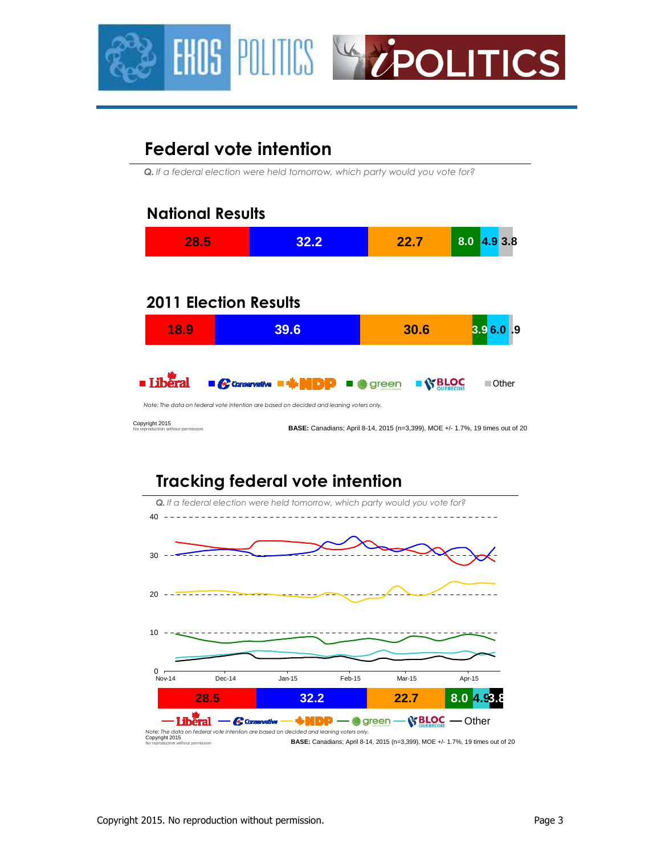



# **Federal vote intention**

*Q. If a federal election were held tomorrow, which party would you vote for?*

| 28.5                                                 | 32.2                                                                                   | 22.7                                                                                 | 8.0<br>4.9 3.8 |
|------------------------------------------------------|----------------------------------------------------------------------------------------|--------------------------------------------------------------------------------------|----------------|
|                                                      |                                                                                        |                                                                                      |                |
| <b>2011 Election Results</b>                         |                                                                                        |                                                                                      |                |
| 18.9                                                 | 39.6                                                                                   | 30.6                                                                                 | 3.9 6.0 .9     |
|                                                      |                                                                                        |                                                                                      |                |
|                                                      | $\blacksquare$ Conservative                                                            | green                                                                                | ■ Other        |
|                                                      | Note: The data on federal vote intention are based on decided and leaning voters only. |                                                                                      |                |
| Copyright 2015<br>No reproduction without permission |                                                                                        | <b>BASE:</b> Canadians; April 8-14, 2015 (n=3,399), MOE +/- 1.7%, 19 times out of 20 |                |
|                                                      |                                                                                        |                                                                                      |                |
|                                                      | <b>Tracking federal vote intention</b>                                                 |                                                                                      |                |
|                                                      | Q. If a federal election were held tomorrow, which party would you vote for?           |                                                                                      |                |
|                                                      |                                                                                        |                                                                                      |                |



Copyright 2015 No reproduction without permission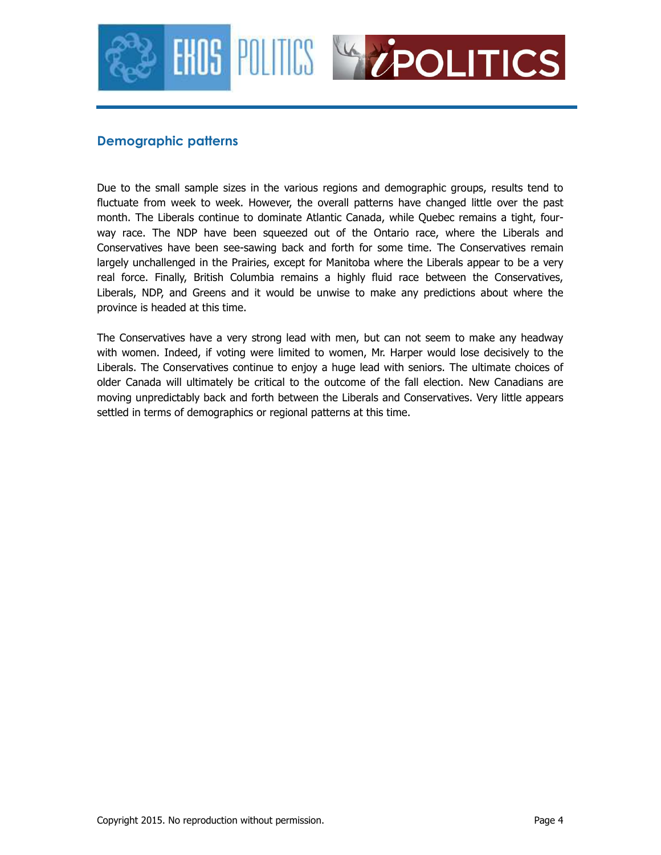



#### **Demographic patterns**

Due to the small sample sizes in the various regions and demographic groups, results tend to fluctuate from week to week. However, the overall patterns have changed little over the past month. The Liberals continue to dominate Atlantic Canada, while Quebec remains a tight, fourway race. The NDP have been squeezed out of the Ontario race, where the Liberals and Conservatives have been see-sawing back and forth for some time. The Conservatives remain largely unchallenged in the Prairies, except for Manitoba where the Liberals appear to be a very real force. Finally, British Columbia remains a highly fluid race between the Conservatives, Liberals, NDP, and Greens and it would be unwise to make any predictions about where the province is headed at this time.

The Conservatives have a very strong lead with men, but can not seem to make any headway with women. Indeed, if voting were limited to women, Mr. Harper would lose decisively to the Liberals. The Conservatives continue to enjoy a huge lead with seniors. The ultimate choices of older Canada will ultimately be critical to the outcome of the fall election. New Canadians are moving unpredictably back and forth between the Liberals and Conservatives. Very little appears settled in terms of demographics or regional patterns at this time.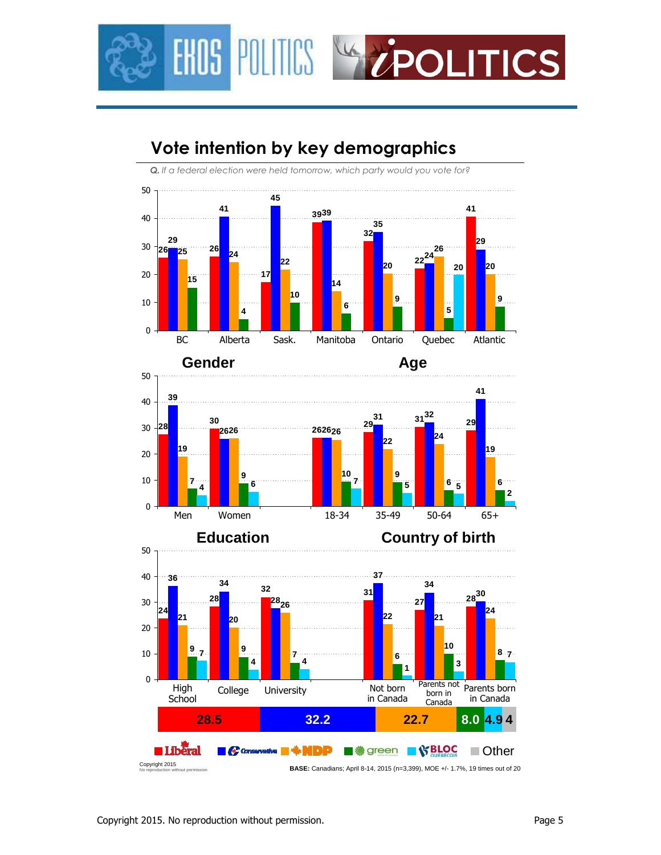

# **Vote intention by key demographics**

*Q. If a federal election were held tomorrow, which party would you vote for?*





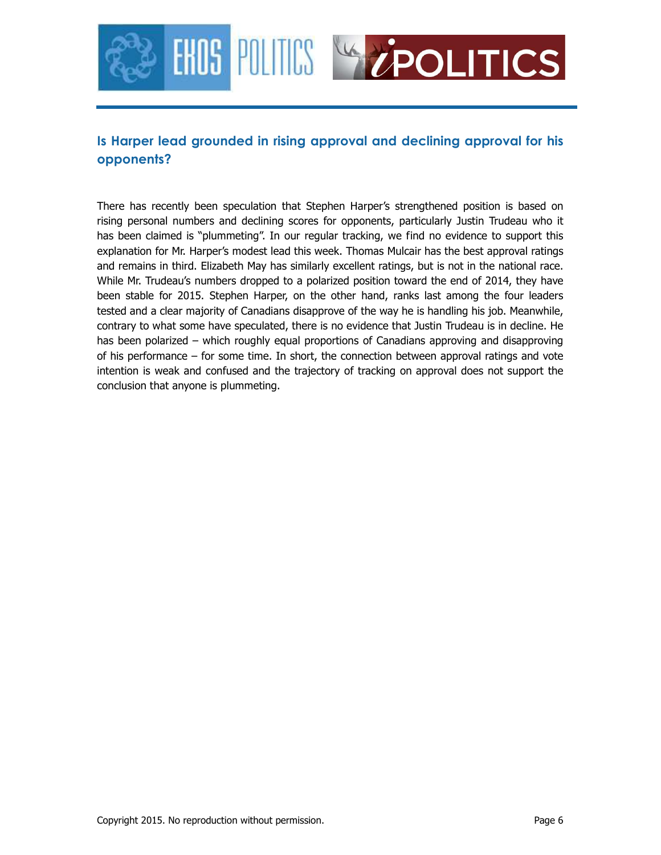

### **Is Harper lead grounded in rising approval and declining approval for his opponents?**

There has recently been speculation that Stephen Harper's strengthened position is based on rising personal numbers and declining scores for opponents, particularly Justin Trudeau who it has been claimed is "plummeting". In our regular tracking, we find no evidence to support this explanation for Mr. Harper's modest lead this week. Thomas Mulcair has the best approval ratings and remains in third. Elizabeth May has similarly excellent ratings, but is not in the national race. While Mr. Trudeau's numbers dropped to a polarized position toward the end of 2014, they have been stable for 2015. Stephen Harper, on the other hand, ranks last among the four leaders tested and a clear majority of Canadians disapprove of the way he is handling his job. Meanwhile, contrary to what some have speculated, there is no evidence that Justin Trudeau is in decline. He has been polarized – which roughly equal proportions of Canadians approving and disapproving of his performance – for some time. In short, the connection between approval ratings and vote intention is weak and confused and the trajectory of tracking on approval does not support the conclusion that anyone is plummeting.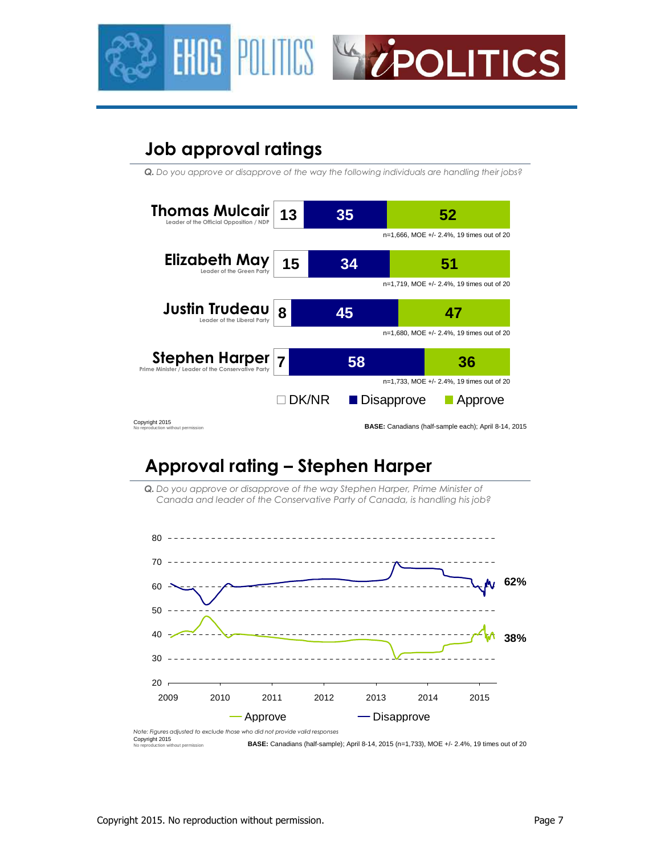



# **Job approval ratings**

*Q. Do you approve or disapprove of the way the following individuals are handling their jobs?*



# **Approval rating – Stephen Harper**

*Q. Do you approve or disapprove of the way Stephen Harper, Prime Minister of Canada and leader of the Conservative Party of Canada, is handling his job?*



Copyright 2015 No reproduction without permission **BASE:** Canadians (half-sample); April 8-14, 2015 (n=1,733), MOE +/- 2.4%, 19 times out of 20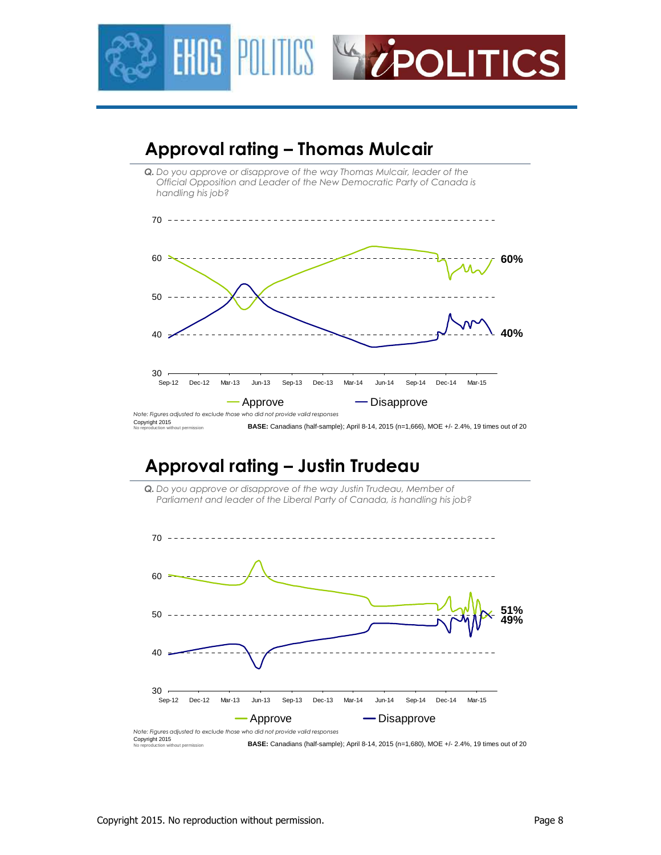



## **Approval rating – Justin Trudeau**



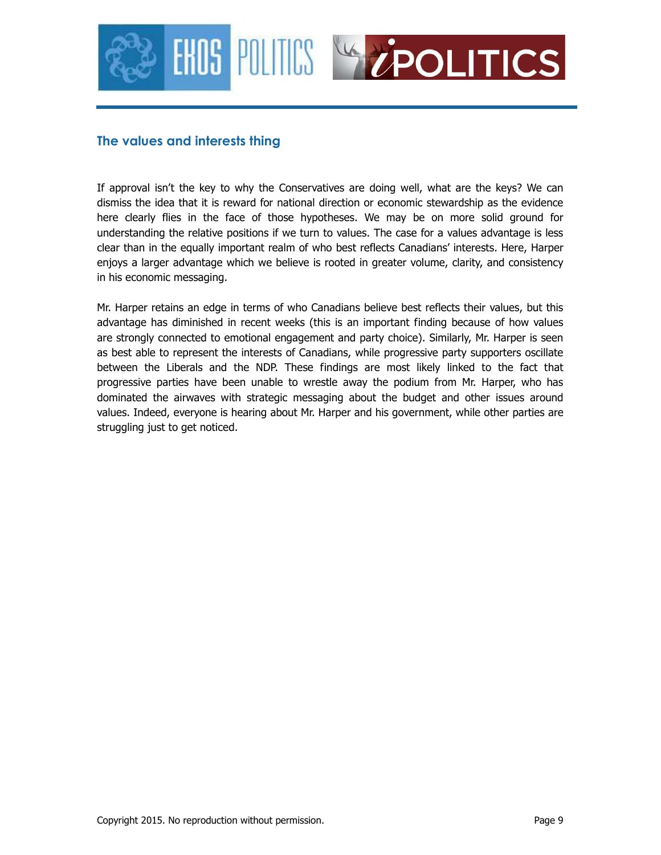



### **The values and interests thing**

If approval isn't the key to why the Conservatives are doing well, what are the keys? We can dismiss the idea that it is reward for national direction or economic stewardship as the evidence here clearly flies in the face of those hypotheses. We may be on more solid ground for understanding the relative positions if we turn to values. The case for a values advantage is less clear than in the equally important realm of who best reflects Canadians' interests. Here, Harper enjoys a larger advantage which we believe is rooted in greater volume, clarity, and consistency in his economic messaging.

Mr. Harper retains an edge in terms of who Canadians believe best reflects their values, but this advantage has diminished in recent weeks (this is an important finding because of how values are strongly connected to emotional engagement and party choice). Similarly, Mr. Harper is seen as best able to represent the interests of Canadians, while progressive party supporters oscillate between the Liberals and the NDP. These findings are most likely linked to the fact that progressive parties have been unable to wrestle away the podium from Mr. Harper, who has dominated the airwaves with strategic messaging about the budget and other issues around values. Indeed, everyone is hearing about Mr. Harper and his government, while other parties are struggling just to get noticed.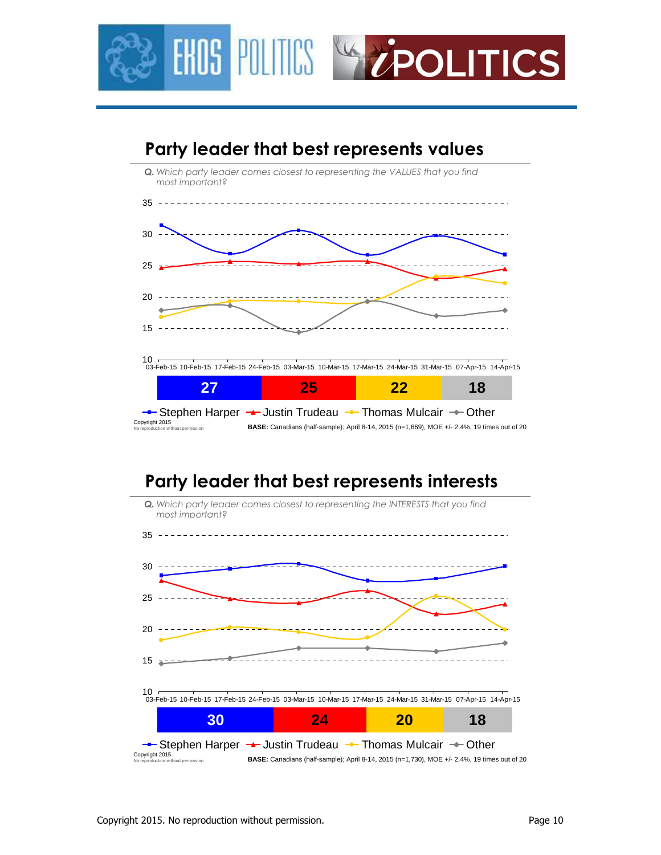



# **Party leader that best represents interests**

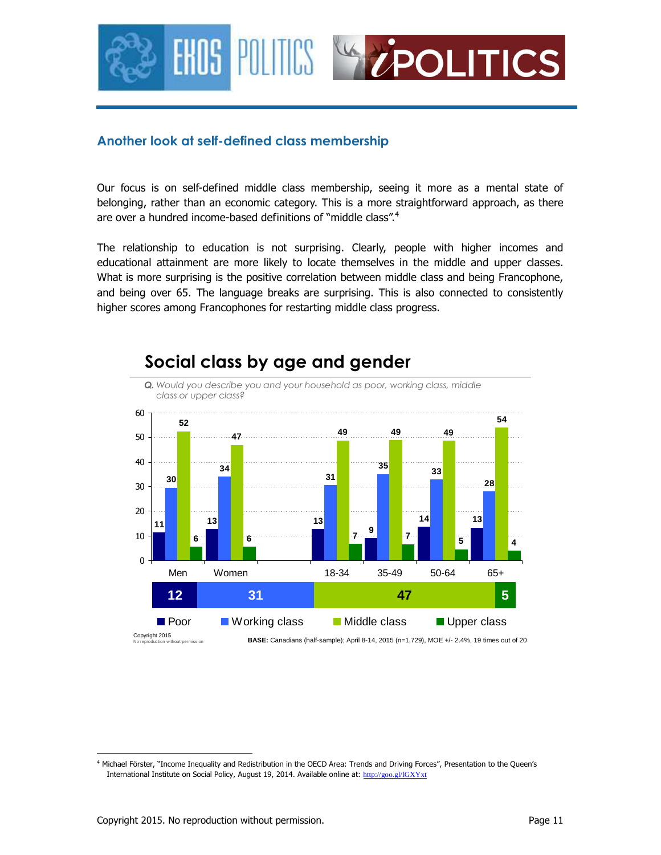

### **Another look at self-defined class membership**

Our focus is on self-defined middle class membership, seeing it more as a mental state of belonging, rather than an economic category. This is a more straightforward approach, as there are over a hundred income-based definitions of "middle class".<sup>4</sup>

The relationship to education is not surprising. Clearly, people with higher incomes and educational attainment are more likely to locate themselves in the middle and upper classes. What is more surprising is the positive correlation between middle class and being Francophone, and being over 65. The language breaks are surprising. This is also connected to consistently higher scores among Francophones for restarting middle class progress.



## **Social class by age and gender**

<sup>&</sup>lt;u>.</u> <sup>4</sup> Michael Förster, "Income Inequality and Redistribution in the OECD Area: Trends and Driving Forces", Presentation to the Queen's International Institute on Social Policy, August 19, 2014. Available online at: http://goo.gl/IGXYxt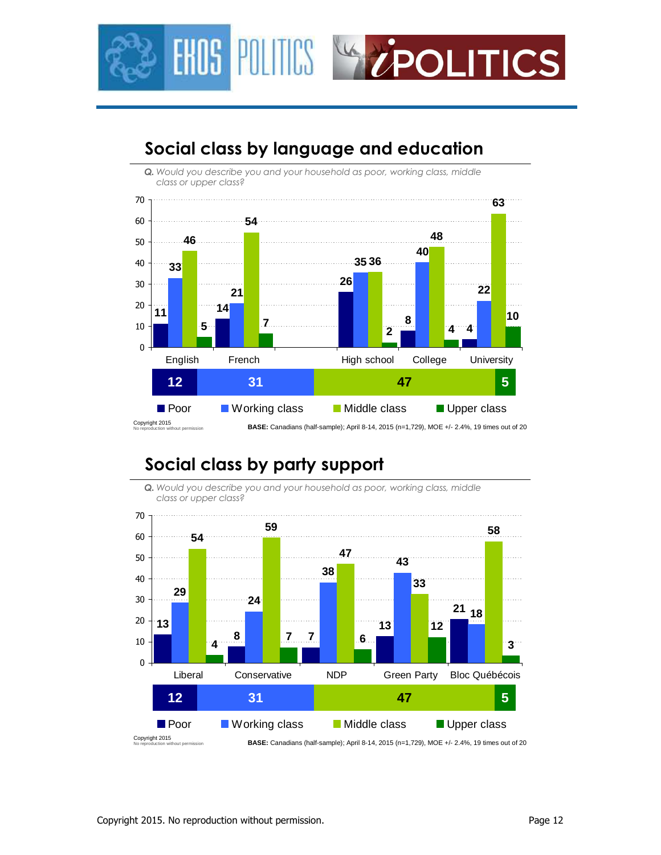



### **Social class by language and education**

## **Social class by party support**



*Q. Would you describe you and your household as poor, working class, middle class or upper class?*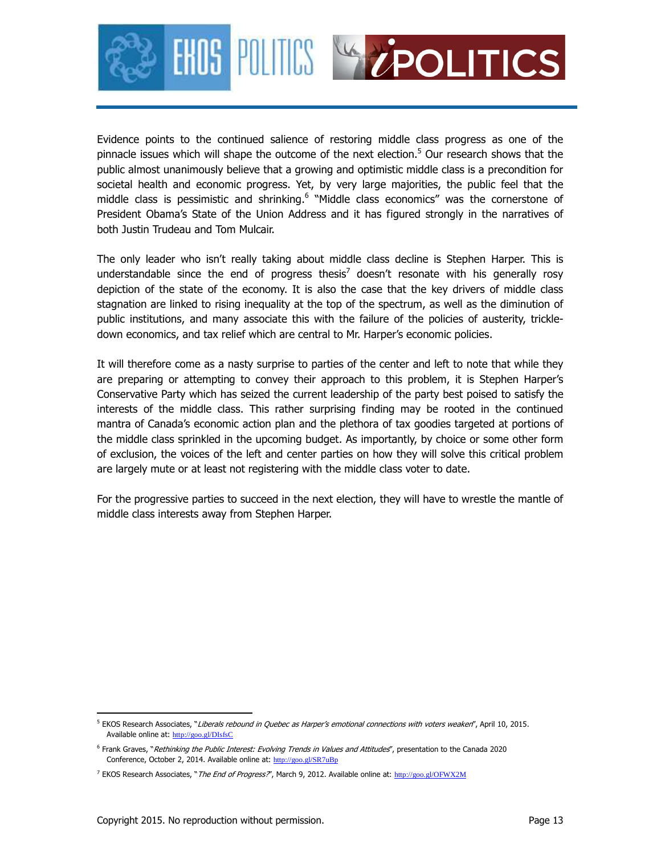



Evidence points to the continued salience of restoring middle class progress as one of the pinnacle issues which will shape the outcome of the next election.<sup>5</sup> Our research shows that the public almost unanimously believe that a growing and optimistic middle class is a precondition for societal health and economic progress. Yet, by very large majorities, the public feel that the middle class is pessimistic and shrinking.<sup>6</sup> "Middle class economics" was the cornerstone of President Obama's State of the Union Address and it has figured strongly in the narratives of both Justin Trudeau and Tom Mulcair.

The only leader who isn't really taking about middle class decline is Stephen Harper. This is understandable since the end of progress thesis<sup>7</sup> doesn't resonate with his generally rosy depiction of the state of the economy. It is also the case that the key drivers of middle class stagnation are linked to rising inequality at the top of the spectrum, as well as the diminution of public institutions, and many associate this with the failure of the policies of austerity, trickledown economics, and tax relief which are central to Mr. Harper's economic policies.

It will therefore come as a nasty surprise to parties of the center and left to note that while they are preparing or attempting to convey their approach to this problem, it is Stephen Harper's Conservative Party which has seized the current leadership of the party best poised to satisfy the interests of the middle class. This rather surprising finding may be rooted in the continued mantra of Canada's economic action plan and the plethora of tax goodies targeted at portions of the middle class sprinkled in the upcoming budget. As importantly, by choice or some other form of exclusion, the voices of the left and center parties on how they will solve this critical problem are largely mute or at least not registering with the middle class voter to date.

For the progressive parties to succeed in the next election, they will have to wrestle the mantle of middle class interests away from Stephen Harper.

<sup>-</sup><sup>5</sup> EKOS Research Associates, "*Liberals rebound in Quebec as Harper's emotional connections with voters weaken*", April 10, 2015. Available online at: http://goo.gl/DIsfsC

<sup>&</sup>lt;sup>6</sup> Frank Graves, "Rethinking the Public Interest: Evolving Trends in Values and Attitudes", presentation to the Canada 2020 Conference, October 2, 2014. Available online at: http://goo.gl/SR7uBp

<sup>&</sup>lt;sup>7</sup> EKOS Research Associates, "*The End of Progress?"*, March 9, 2012. Available online at: http://goo.gl/OFWX2M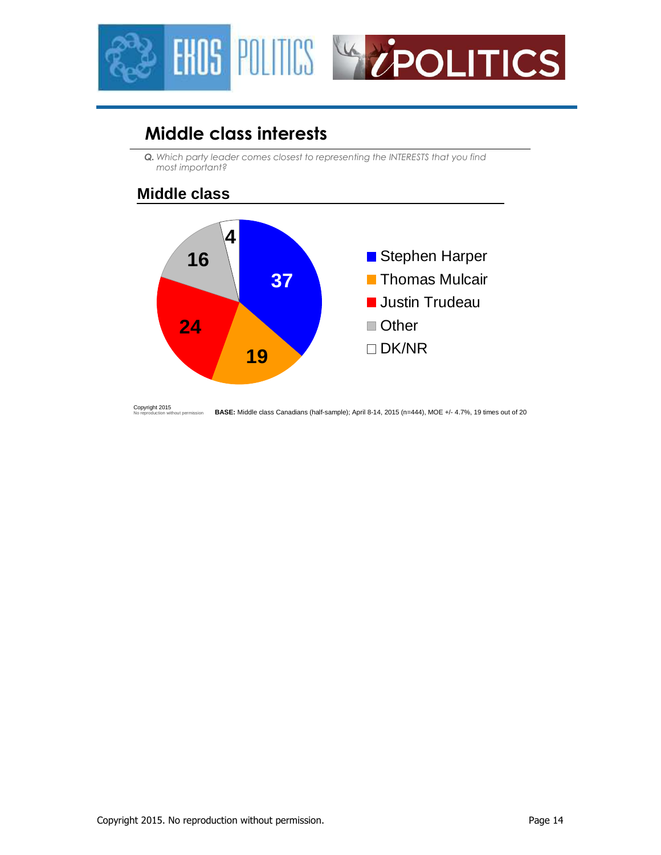

# **Middle class interests**

*Q. Which party leader comes closest to representing the INTERESTS that you find most important?*

### **Middle class**



Copyright 2015 No reproduction without permission **BASE:** Middle class Canadians (half-sample); April 8-14, 2015 (n=444), MOE +/- 4.7%, 19 times out of 20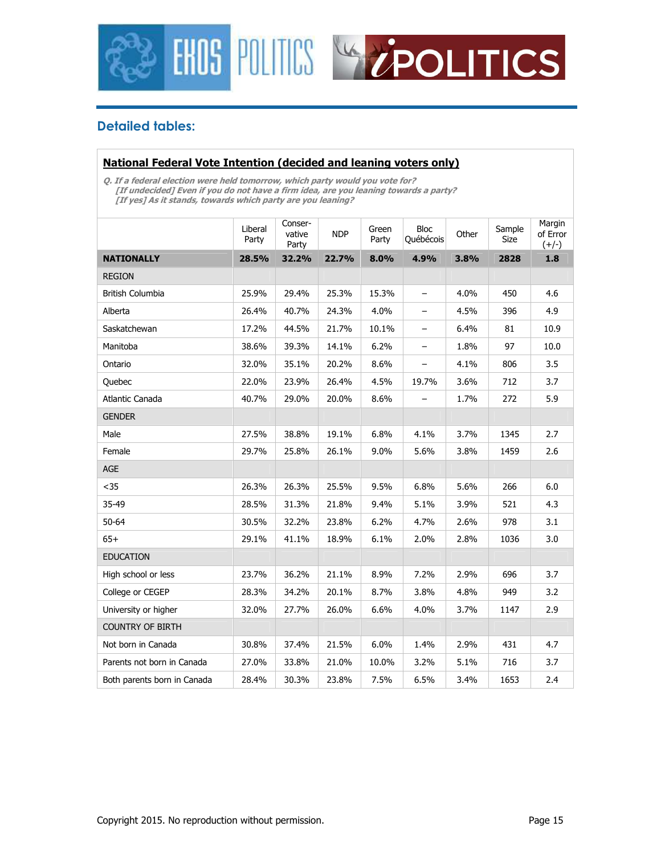



### **Detailed tables:**

#### **National Federal Vote Intention (decided and leaning voters only)**

**Q. If a federal election were held tomorrow, which party would you vote for? [If undecided] Even if you do not have a firm idea, are you leaning towards a party? [If yes] As it stands, towards which party are you leaning?** 

|                             | Liberal<br>Party | Conser-<br>vative<br>Party | <b>NDP</b> | Green<br>Party | <b>Bloc</b><br>Québécois | Other | Sample<br>Size | Margin<br>of Error<br>$(+/-)$ |
|-----------------------------|------------------|----------------------------|------------|----------------|--------------------------|-------|----------------|-------------------------------|
| <b>NATIONALLY</b>           | 28.5%            | 32.2%                      | 22.7%      | 8.0%           | 4.9%                     | 3.8%  | 2828           | 1.8                           |
| <b>REGION</b>               |                  |                            |            |                |                          |       |                |                               |
| British Columbia            | 25.9%            | 29.4%                      | 25.3%      | 15.3%          | $\qquad \qquad -$        | 4.0%  | 450            | 4.6                           |
| Alberta                     | 26.4%            | 40.7%                      | 24.3%      | 4.0%           | -                        | 4.5%  | 396            | 4.9                           |
| Saskatchewan                | 17.2%            | 44.5%                      | 21.7%      | 10.1%          | -                        | 6.4%  | 81             | 10.9                          |
| Manitoba                    | 38.6%            | 39.3%                      | 14.1%      | 6.2%           | $\overline{\phantom{0}}$ | 1.8%  | 97             | 10.0                          |
| Ontario                     | 32.0%            | 35.1%                      | 20.2%      | 8.6%           | $\qquad \qquad -$        | 4.1%  | 806            | 3.5                           |
| Quebec                      | 22.0%            | 23.9%                      | 26.4%      | 4.5%           | 19.7%                    | 3.6%  | 712            | 3.7                           |
| Atlantic Canada             | 40.7%            | 29.0%                      | 20.0%      | 8.6%           |                          | 1.7%  | 272            | 5.9                           |
| <b>GENDER</b>               |                  |                            |            |                |                          |       |                |                               |
| Male                        | 27.5%            | 38.8%                      | 19.1%      | 6.8%           | 4.1%                     | 3.7%  | 1345           | 2.7                           |
| Female                      | 29.7%            | 25.8%                      | 26.1%      | 9.0%           | 5.6%                     | 3.8%  | 1459           | 2.6                           |
| AGE                         |                  |                            |            |                |                          |       |                |                               |
| $35$                        | 26.3%            | 26.3%                      | 25.5%      | 9.5%           | 6.8%                     | 5.6%  | 266            | $6.0\,$                       |
| 35-49                       | 28.5%            | 31.3%                      | 21.8%      | 9.4%           | 5.1%                     | 3.9%  | 521            | 4.3                           |
| $50 - 64$                   | 30.5%            | 32.2%                      | 23.8%      | 6.2%           | 4.7%                     | 2.6%  | 978            | 3.1                           |
| $65+$                       | 29.1%            | 41.1%                      | 18.9%      | 6.1%           | 2.0%                     | 2.8%  | 1036           | 3.0                           |
| <b>EDUCATION</b>            |                  |                            |            |                |                          |       |                |                               |
| High school or less         | 23.7%            | 36.2%                      | 21.1%      | 8.9%           | 7.2%                     | 2.9%  | 696            | 3.7                           |
| College or CEGEP            | 28.3%            | 34.2%                      | 20.1%      | 8.7%           | 3.8%                     | 4.8%  | 949            | 3.2                           |
| University or higher        | 32.0%            | 27.7%                      | 26.0%      | 6.6%           | 4.0%                     | 3.7%  | 1147           | 2.9                           |
| <b>COUNTRY OF BIRTH</b>     |                  |                            |            |                |                          |       |                |                               |
| Not born in Canada          | 30.8%            | 37.4%                      | 21.5%      | 6.0%           | 1.4%                     | 2.9%  | 431            | 4.7                           |
| Parents not born in Canada  | 27.0%            | 33.8%                      | 21.0%      | 10.0%          | 3.2%                     | 5.1%  | 716            | 3.7                           |
| Both parents born in Canada | 28.4%            | 30.3%                      | 23.8%      | 7.5%           | 6.5%                     | 3.4%  | 1653           | 2.4                           |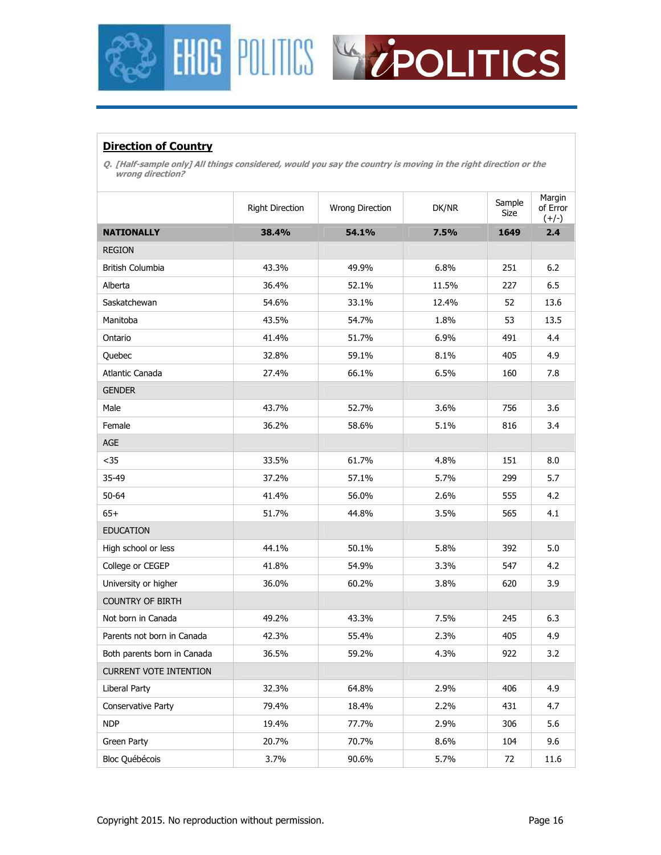



#### **Direction of Country**

**Q. [Half-sample only] All things considered, would you say the country is moving in the right direction or the wrong direction?** 

|                               | Right Direction | Wrong Direction | DK/NR | Sample<br>Size | Margin<br>of Error<br>$(+/-)$ |
|-------------------------------|-----------------|-----------------|-------|----------------|-------------------------------|
| <b>NATIONALLY</b>             | 38.4%           | 54.1%           | 7.5%  | 1649           | 2.4                           |
| <b>REGION</b>                 |                 |                 |       |                |                               |
| <b>British Columbia</b>       | 43.3%           | 49.9%           | 6.8%  | 251            | $6.2$                         |
| Alberta                       | 36.4%           | 52.1%           | 11.5% | 227            | 6.5                           |
| Saskatchewan                  | 54.6%           | 33.1%           | 12.4% | 52             | 13.6                          |
| Manitoba                      | 43.5%           | 54.7%           | 1.8%  | 53             | 13.5                          |
| Ontario                       | 41.4%           | 51.7%           | 6.9%  | 491            | 4.4                           |
| Quebec                        | 32.8%           | 59.1%           | 8.1%  | 405            | 4.9                           |
| Atlantic Canada               | 27.4%           | 66.1%           | 6.5%  | 160            | 7.8                           |
| <b>GENDER</b>                 |                 |                 |       |                |                               |
| Male                          | 43.7%           | 52.7%           | 3.6%  | 756            | 3.6                           |
| Female                        | 36.2%           | 58.6%           | 5.1%  | 816            | 3.4                           |
| AGE                           |                 |                 |       |                |                               |
| $35$                          | 33.5%           | 61.7%           | 4.8%  | 151            | 8.0                           |
| 35-49                         | 37.2%           | 57.1%           | 5.7%  | 299            | 5.7                           |
| $50 - 64$                     | 41.4%           | 56.0%           | 2.6%  | 555            | 4.2                           |
| $65+$                         | 51.7%           | 44.8%           | 3.5%  | 565            | 4.1                           |
| <b>EDUCATION</b>              |                 |                 |       |                |                               |
| High school or less           | 44.1%           | 50.1%           | 5.8%  | 392            | 5.0                           |
| College or CEGEP              | 41.8%           | 54.9%           | 3.3%  | 547            | 4.2                           |
| University or higher          | 36.0%           | 60.2%           | 3.8%  | 620            | 3.9                           |
| <b>COUNTRY OF BIRTH</b>       |                 |                 |       |                |                               |
| Not born in Canada            | 49.2%           | 43.3%           | 7.5%  | 245            | 6.3                           |
| Parents not born in Canada    | 42.3%           | 55.4%           | 2.3%  | 405            | 4.9                           |
| Both parents born in Canada   | 36.5%           | 59.2%           | 4.3%  | 922            | 3.2                           |
| <b>CURRENT VOTE INTENTION</b> |                 |                 |       |                |                               |
| Liberal Party                 | 32.3%           | 64.8%           | 2.9%  | 406            | 4.9                           |
| Conservative Party            | 79.4%           | 18.4%           | 2.2%  | 431            | 4.7                           |
| <b>NDP</b>                    | 19.4%           | 77.7%           | 2.9%  | 306            | 5.6                           |
| Green Party                   | 20.7%           | 70.7%           | 8.6%  | 104            | 9.6                           |
| Bloc Québécois                | 3.7%            | 90.6%           | 5.7%  | 72             | 11.6                          |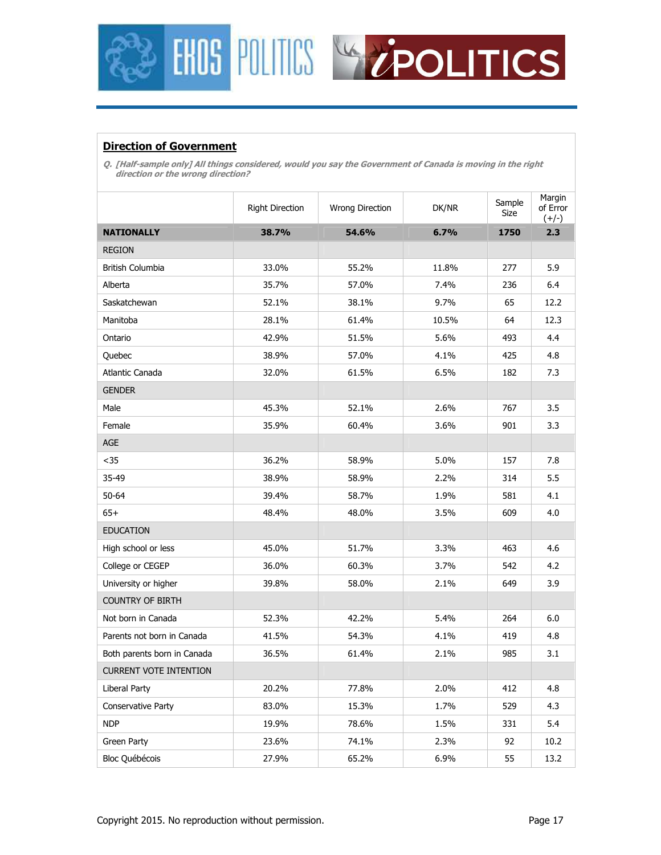



#### **Direction of Government**

**Q. [Half-sample only] All things considered, would you say the Government of Canada is moving in the right direction or the wrong direction?** 

|                               | <b>Right Direction</b> | Wrong Direction | DK/NR | Sample<br>Size | Margin<br>of Error<br>$(+/-)$ |
|-------------------------------|------------------------|-----------------|-------|----------------|-------------------------------|
| <b>NATIONALLY</b>             | 38.7%                  | 54.6%           | 6.7%  | 1750           | 2.3                           |
| <b>REGION</b>                 |                        |                 |       |                |                               |
| <b>British Columbia</b>       | 33.0%                  | 55.2%           | 11.8% | 277            | 5.9                           |
| Alberta                       | 35.7%                  | 57.0%           | 7.4%  | 236            | 6.4                           |
| Saskatchewan                  | 52.1%                  | 38.1%           | 9.7%  | 65             | 12.2                          |
| Manitoba                      | 28.1%                  | 61.4%           | 10.5% | 64             | 12.3                          |
| Ontario                       | 42.9%                  | 51.5%           | 5.6%  | 493            | 4.4                           |
| Quebec                        | 38.9%                  | 57.0%           | 4.1%  | 425            | 4.8                           |
| Atlantic Canada               | 32.0%                  | 61.5%           | 6.5%  | 182            | 7.3                           |
| <b>GENDER</b>                 |                        |                 |       |                |                               |
| Male                          | 45.3%                  | 52.1%           | 2.6%  | 767            | 3.5                           |
| Female                        | 35.9%                  | 60.4%           | 3.6%  | 901            | 3.3                           |
| <b>AGE</b>                    |                        |                 |       |                |                               |
| $35$                          | 36.2%                  | 58.9%           | 5.0%  | 157            | 7.8                           |
| 35-49                         | 38.9%                  | 58.9%           | 2.2%  | 314            | 5.5                           |
| 50-64                         | 39.4%                  | 58.7%           | 1.9%  | 581            | 4.1                           |
| $65+$                         | 48.4%                  | 48.0%           | 3.5%  | 609            | 4.0                           |
| <b>EDUCATION</b>              |                        |                 |       |                |                               |
| High school or less           | 45.0%                  | 51.7%           | 3.3%  | 463            | 4.6                           |
| College or CEGEP              | 36.0%                  | 60.3%           | 3.7%  | 542            | 4.2                           |
| University or higher          | 39.8%                  | 58.0%           | 2.1%  | 649            | 3.9                           |
| <b>COUNTRY OF BIRTH</b>       |                        |                 |       |                |                               |
| Not born in Canada            | 52.3%                  | 42.2%           | 5.4%  | 264            | 6.0                           |
| Parents not born in Canada    | 41.5%                  | 54.3%           | 4.1%  | 419            | 4.8                           |
| Both parents born in Canada   | 36.5%                  | 61.4%           | 2.1%  | 985            | 3.1                           |
| <b>CURRENT VOTE INTENTION</b> |                        |                 |       |                |                               |
| Liberal Party                 | 20.2%                  | 77.8%           | 2.0%  | 412            | 4.8                           |
| Conservative Party            | 83.0%                  | 15.3%           | 1.7%  | 529            | 4.3                           |
| <b>NDP</b>                    | 19.9%                  | 78.6%           | 1.5%  | 331            | 5.4                           |
| Green Party                   | 23.6%                  | 74.1%           | 2.3%  | 92             | 10.2                          |
| Bloc Québécois                | 27.9%                  | 65.2%           | 6.9%  | 55             | 13.2                          |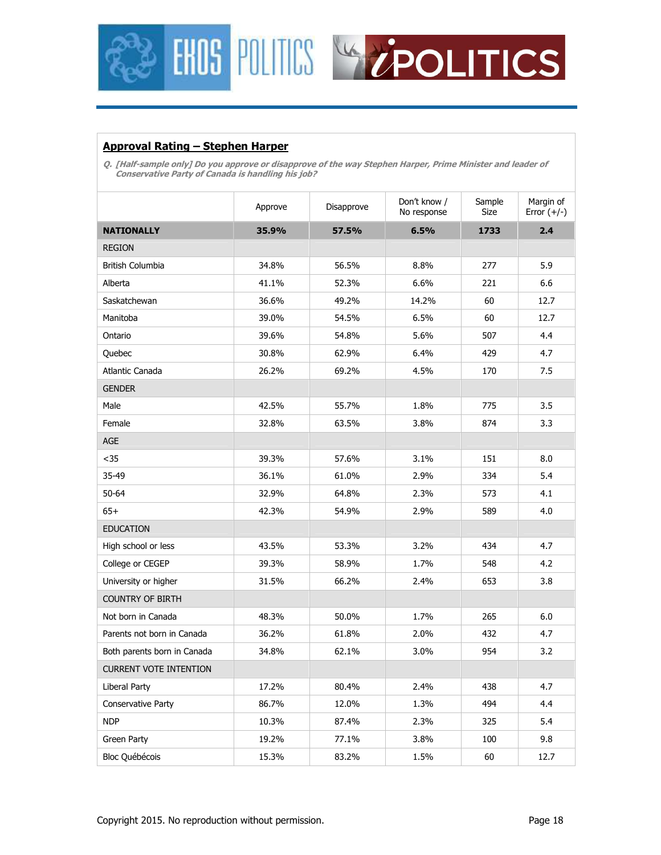



#### **Approval Rating – Stephen Harper**

**Q. [Half-sample only] Do you approve or disapprove of the way Stephen Harper, Prime Minister and leader of Conservative Party of Canada is handling his job?** 

|                               | Approve | Disapprove | Don't know /<br>No response | Sample<br>Size | Margin of<br>Error $(+/-)$ |
|-------------------------------|---------|------------|-----------------------------|----------------|----------------------------|
| <b>NATIONALLY</b>             | 35.9%   | 57.5%      | 6.5%                        | 1733           | 2.4                        |
| <b>REGION</b>                 |         |            |                             |                |                            |
| British Columbia              | 34.8%   | 56.5%      | 8.8%                        | 277            | 5.9                        |
| Alberta                       | 41.1%   | 52.3%      | 6.6%                        | 221            | 6.6                        |
| Saskatchewan                  | 36.6%   | 49.2%      | 14.2%                       | 60             | 12.7                       |
| Manitoba                      | 39.0%   | 54.5%      | 6.5%                        | 60             | 12.7                       |
| Ontario                       | 39.6%   | 54.8%      | 5.6%                        | 507            | 4.4                        |
| Quebec                        | 30.8%   | 62.9%      | 6.4%                        | 429            | 4.7                        |
| Atlantic Canada               | 26.2%   | 69.2%      | 4.5%                        | 170            | 7.5                        |
| <b>GENDER</b>                 |         |            |                             |                |                            |
| Male                          | 42.5%   | 55.7%      | 1.8%                        | 775            | 3.5                        |
| Female                        | 32.8%   | 63.5%      | 3.8%                        | 874            | 3.3                        |
| <b>AGE</b>                    |         |            |                             |                |                            |
| $35$                          | 39.3%   | 57.6%      | 3.1%                        | 151            | 8.0                        |
| 35-49                         | 36.1%   | 61.0%      | 2.9%                        | 334            | 5.4                        |
| 50-64                         | 32.9%   | 64.8%      | 2.3%                        | 573            | 4.1                        |
| $65+$                         | 42.3%   | 54.9%      | 2.9%                        | 589            | 4.0                        |
| <b>EDUCATION</b>              |         |            |                             |                |                            |
| High school or less           | 43.5%   | 53.3%      | 3.2%                        | 434            | 4.7                        |
| College or CEGEP              | 39.3%   | 58.9%      | 1.7%                        | 548            | 4.2                        |
| University or higher          | 31.5%   | 66.2%      | 2.4%                        | 653            | 3.8                        |
| <b>COUNTRY OF BIRTH</b>       |         |            |                             |                |                            |
| Not born in Canada            | 48.3%   | 50.0%      | 1.7%                        | 265            | 6.0                        |
| Parents not born in Canada    | 36.2%   | 61.8%      | 2.0%                        | 432            | 4.7                        |
| Both parents born in Canada   | 34.8%   | 62.1%      | 3.0%                        | 954            | 3.2                        |
| <b>CURRENT VOTE INTENTION</b> |         |            |                             |                |                            |
| Liberal Party                 | 17.2%   | 80.4%      | 2.4%                        | 438            | 4.7                        |
| Conservative Party            | 86.7%   | 12.0%      | 1.3%                        | 494            | 4.4                        |
| <b>NDP</b>                    | 10.3%   | 87.4%      | 2.3%                        | 325            | 5.4                        |
| Green Party                   | 19.2%   | 77.1%      | 3.8%                        | 100            | 9.8                        |
| Bloc Québécois                | 15.3%   | 83.2%      | 1.5%                        | 60             | 12.7                       |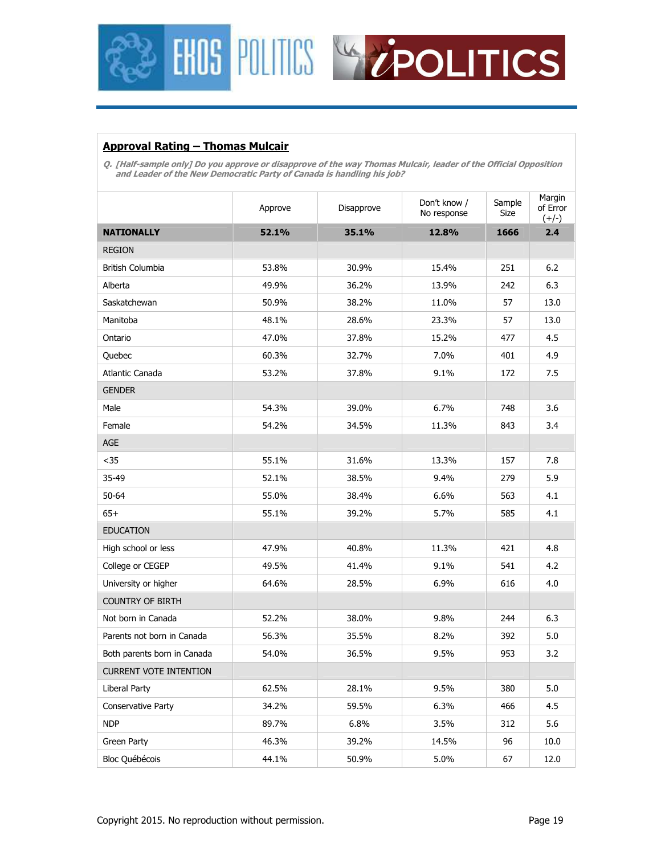



#### **Approval Rating – Thomas Mulcair**

**Q. [Half-sample only] Do you approve or disapprove of the way Thomas Mulcair, leader of the Official Opposition and Leader of the New Democratic Party of Canada is handling his job?** 

|                               | Don't know /<br>Approve<br>Disapprove<br>No response |       | Sample<br>Size | Margin<br>of Error<br>$(+/-)$ |      |
|-------------------------------|------------------------------------------------------|-------|----------------|-------------------------------|------|
| <b>NATIONALLY</b>             | 52.1%                                                | 35.1% | 12.8%          | 1666                          | 2.4  |
| <b>REGION</b>                 |                                                      |       |                |                               |      |
| <b>British Columbia</b>       | 53.8%                                                | 30.9% | 15.4%          | 251                           | 6.2  |
| Alberta                       | 49.9%                                                | 36.2% | 13.9%          | 242                           | 6.3  |
| Saskatchewan                  | 50.9%                                                | 38.2% | 11.0%          | 57                            | 13.0 |
| Manitoba                      | 48.1%                                                | 28.6% | 23.3%          | 57                            | 13.0 |
| Ontario                       | 47.0%                                                | 37.8% | 15.2%          | 477                           | 4.5  |
| Quebec                        | 60.3%                                                | 32.7% | 7.0%           | 401                           | 4.9  |
| Atlantic Canada               | 53.2%                                                | 37.8% | 9.1%           | 172                           | 7.5  |
| <b>GENDER</b>                 |                                                      |       |                |                               |      |
| Male                          | 54.3%                                                | 39.0% | 6.7%           | 748                           | 3.6  |
| Female                        | 54.2%                                                | 34.5% | 11.3%          | 843                           | 3.4  |
| <b>AGE</b>                    |                                                      |       |                |                               |      |
| $35$                          | 55.1%                                                | 31.6% | 13.3%          | 157                           | 7.8  |
| 35-49                         | 52.1%                                                | 38.5% | 9.4%           | 279                           | 5.9  |
| 50-64                         | 55.0%                                                | 38.4% | 6.6%           | 563                           | 4.1  |
| $65+$                         | 55.1%                                                | 39.2% | 5.7%           | 585                           | 4.1  |
| <b>EDUCATION</b>              |                                                      |       |                |                               |      |
| High school or less           | 47.9%                                                | 40.8% | 11.3%          | 421                           | 4.8  |
| College or CEGEP              | 49.5%                                                | 41.4% | 9.1%           | 541                           | 4.2  |
| University or higher          | 64.6%                                                | 28.5% | 6.9%           | 616                           | 4.0  |
| <b>COUNTRY OF BIRTH</b>       |                                                      |       |                |                               |      |
| Not born in Canada            | 52.2%                                                | 38.0% | 9.8%           | 244                           | 6.3  |
| Parents not born in Canada    | 56.3%                                                | 35.5% | 8.2%           | 392                           | 5.0  |
| Both parents born in Canada   | 54.0%                                                | 36.5% | 9.5%           | 953                           | 3.2  |
| <b>CURRENT VOTE INTENTION</b> |                                                      |       |                |                               |      |
| Liberal Party                 | 62.5%                                                | 28.1% | 9.5%           | 380                           | 5.0  |
| Conservative Party            | 34.2%                                                | 59.5% | 6.3%           | 466                           | 4.5  |
| <b>NDP</b>                    | 89.7%                                                | 6.8%  | 3.5%           | 312                           | 5.6  |
| Green Party                   | 46.3%                                                | 39.2% | 14.5%          | 96                            | 10.0 |
| Bloc Québécois                | 44.1%                                                | 50.9% | 5.0%           | 67                            | 12.0 |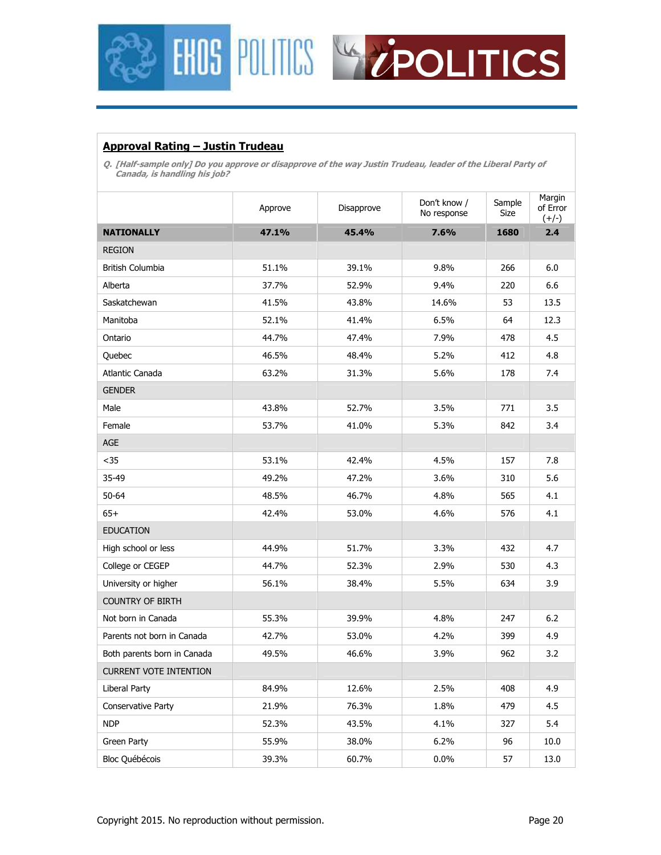



#### **Approval Rating – Justin Trudeau**

**Q. [Half-sample only] Do you approve or disapprove of the way Justin Trudeau, leader of the Liberal Party of Canada, is handling his job?** 

|                               | Don't know /<br>Approve<br>Disapprove<br>No response |       |       | Sample<br>Size | Margin<br>of Error<br>$(+/-)$ |
|-------------------------------|------------------------------------------------------|-------|-------|----------------|-------------------------------|
| <b>NATIONALLY</b>             | 47.1%                                                | 45.4% | 7.6%  | 1680           | 2.4                           |
| <b>REGION</b>                 |                                                      |       |       |                |                               |
| British Columbia              | 51.1%                                                | 39.1% | 9.8%  | 266            | 6.0                           |
| Alberta                       | 37.7%                                                | 52.9% | 9.4%  | 220            | 6.6                           |
| Saskatchewan                  | 41.5%                                                | 43.8% | 14.6% | 53             | 13.5                          |
| Manitoba                      | 52.1%                                                | 41.4% | 6.5%  | 64             | 12.3                          |
| Ontario                       | 44.7%                                                | 47.4% | 7.9%  | 478            | 4.5                           |
| Quebec                        | 46.5%                                                | 48.4% | 5.2%  | 412            | 4.8                           |
| Atlantic Canada               | 63.2%                                                | 31.3% | 5.6%  | 178            | 7.4                           |
| <b>GENDER</b>                 |                                                      |       |       |                |                               |
| Male                          | 43.8%                                                | 52.7% | 3.5%  | 771            | 3.5                           |
| Female                        | 53.7%                                                | 41.0% | 5.3%  | 842            | 3.4                           |
| <b>AGE</b>                    |                                                      |       |       |                |                               |
| $35$                          | 53.1%                                                | 42.4% | 4.5%  | 157            | 7.8                           |
| 35-49                         | 49.2%                                                | 47.2% | 3.6%  | 310            | 5.6                           |
| $50 - 64$                     | 48.5%                                                | 46.7% | 4.8%  | 565            | 4.1                           |
| $65+$                         | 42.4%                                                | 53.0% | 4.6%  | 576            | 4.1                           |
| <b>EDUCATION</b>              |                                                      |       |       |                |                               |
| High school or less           | 44.9%                                                | 51.7% | 3.3%  | 432            | 4.7                           |
| College or CEGEP              | 44.7%                                                | 52.3% | 2.9%  | 530            | 4.3                           |
| University or higher          | 56.1%                                                | 38.4% | 5.5%  | 634            | 3.9                           |
| <b>COUNTRY OF BIRTH</b>       |                                                      |       |       |                |                               |
| Not born in Canada            | 55.3%                                                | 39.9% | 4.8%  | 247            | 6.2                           |
| Parents not born in Canada    | 42.7%                                                | 53.0% | 4.2%  | 399            | 4.9                           |
| Both parents born in Canada   | 49.5%                                                | 46.6% | 3.9%  | 962            | 3.2                           |
| <b>CURRENT VOTE INTENTION</b> |                                                      |       |       |                |                               |
| Liberal Party                 | 84.9%                                                | 12.6% | 2.5%  | 408            | 4.9                           |
| Conservative Party            | 21.9%                                                | 76.3% | 1.8%  | 479            | 4.5                           |
| <b>NDP</b>                    | 52.3%                                                | 43.5% | 4.1%  | 327            | 5.4                           |
| Green Party                   | 55.9%                                                | 38.0% | 6.2%  | 96             | 10.0                          |
| Bloc Québécois                | 39.3%                                                | 60.7% | 0.0%  | 57             | 13.0                          |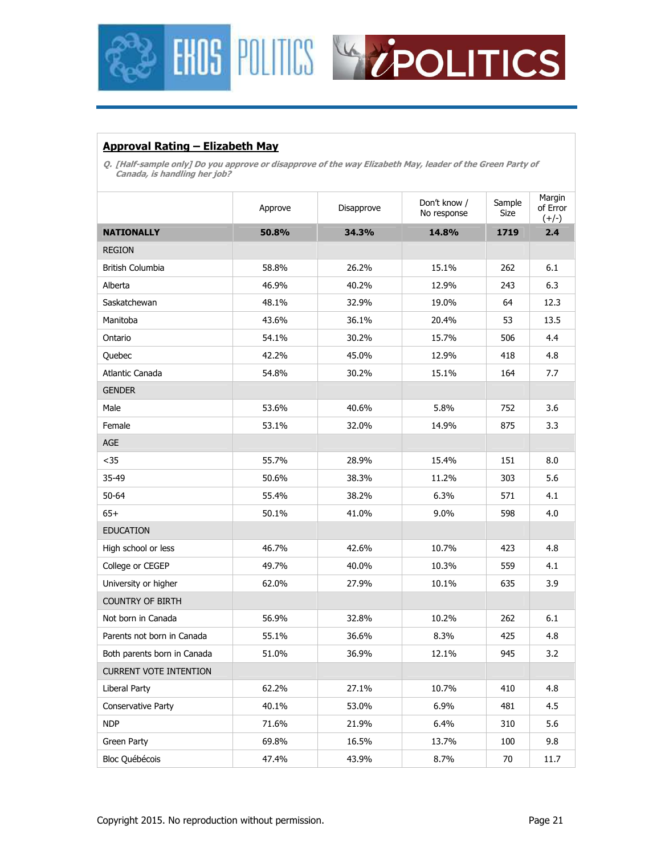



#### **Approval Rating – Elizabeth May**

**Q. [Half-sample only] Do you approve or disapprove of the way Elizabeth May, leader of the Green Party of Canada, is handling her job?** 

|                               | Don't know /<br>Disapprove<br>Approve<br>No response |       | Sample<br>Size | Margin<br>of Error<br>$(+/-)$ |      |
|-------------------------------|------------------------------------------------------|-------|----------------|-------------------------------|------|
| <b>NATIONALLY</b>             | 50.8%                                                | 34.3% | 14.8%          | 1719                          | 2.4  |
| <b>REGION</b>                 |                                                      |       |                |                               |      |
| British Columbia              | 58.8%                                                | 26.2% | 15.1%          | 262                           | 6.1  |
| Alberta                       | 46.9%                                                | 40.2% | 12.9%          | 243                           | 6.3  |
| Saskatchewan                  | 48.1%                                                | 32.9% | 19.0%          | 64                            | 12.3 |
| Manitoba                      | 43.6%                                                | 36.1% | 20.4%          | 53                            | 13.5 |
| Ontario                       | 54.1%                                                | 30.2% | 15.7%          | 506                           | 4.4  |
| Quebec                        | 42.2%                                                | 45.0% | 12.9%          | 418                           | 4.8  |
| Atlantic Canada               | 54.8%                                                | 30.2% | 15.1%          | 164                           | 7.7  |
| <b>GENDER</b>                 |                                                      |       |                |                               |      |
| Male                          | 53.6%                                                | 40.6% | 5.8%           | 752                           | 3.6  |
| Female                        | 53.1%                                                | 32.0% | 14.9%          | 875                           | 3.3  |
| AGE                           |                                                      |       |                |                               |      |
| $35$                          | 55.7%                                                | 28.9% | 15.4%          | 151                           | 8.0  |
| 35-49                         | 50.6%                                                | 38.3% | 11.2%          | 303                           | 5.6  |
| $50 - 64$                     | 55.4%                                                | 38.2% | 6.3%           | 571                           | 4.1  |
| $65+$                         | 50.1%                                                | 41.0% | $9.0\%$        | 598                           | 4.0  |
| <b>EDUCATION</b>              |                                                      |       |                |                               |      |
| High school or less           | 46.7%                                                | 42.6% | 10.7%          | 423                           | 4.8  |
| College or CEGEP              | 49.7%                                                | 40.0% | 10.3%          | 559                           | 4.1  |
| University or higher          | 62.0%                                                | 27.9% | 10.1%          | 635                           | 3.9  |
| <b>COUNTRY OF BIRTH</b>       |                                                      |       |                |                               |      |
| Not born in Canada            | 56.9%                                                | 32.8% | 10.2%          | 262                           | 6.1  |
| Parents not born in Canada    | 55.1%                                                | 36.6% | 8.3%           | 425                           | 4.8  |
| Both parents born in Canada   | 51.0%                                                | 36.9% | 12.1%          | 945                           | 3.2  |
| <b>CURRENT VOTE INTENTION</b> |                                                      |       |                |                               |      |
| Liberal Party                 | 62.2%                                                | 27.1% | 10.7%          | 410                           | 4.8  |
| Conservative Party            | 40.1%                                                | 53.0% | 6.9%           | 481                           | 4.5  |
| <b>NDP</b>                    | 71.6%                                                | 21.9% | 6.4%           | 310                           | 5.6  |
| Green Party                   | 69.8%                                                | 16.5% | 13.7%          | 100                           | 9.8  |
| <b>Bloc Québécois</b>         | 47.4%                                                | 43.9% | 8.7%           | 70                            | 11.7 |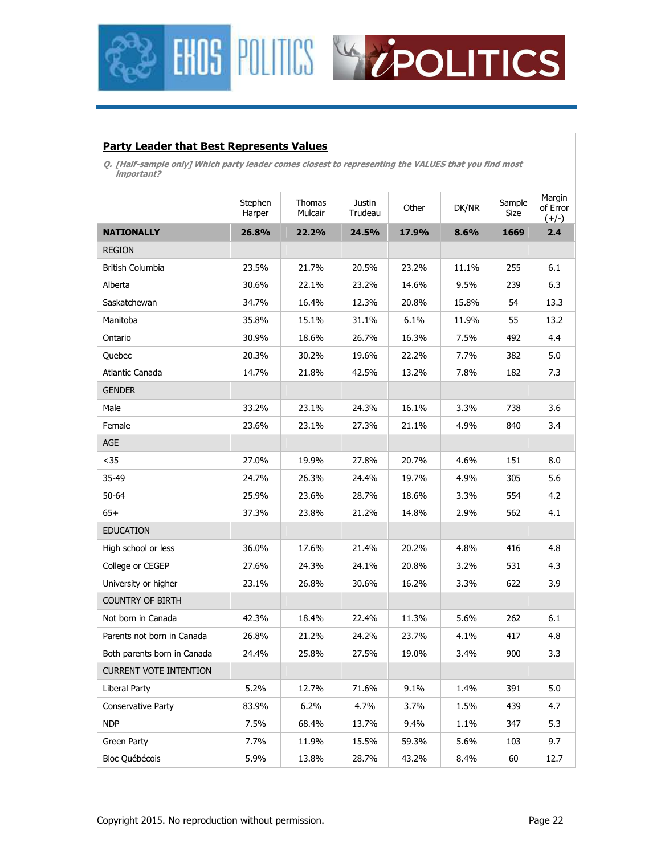



#### **Party Leader that Best Represents Values**

**Q. [Half-sample only] Which party leader comes closest to representing the VALUES that you find most important?** 

|                               |                   |                   |                          |       |       |                | Margin              |
|-------------------------------|-------------------|-------------------|--------------------------|-------|-------|----------------|---------------------|
|                               | Stephen<br>Harper | Thomas<br>Mulcair | <b>Justin</b><br>Trudeau | Other | DK/NR | Sample<br>Size | of Error<br>$(+/-)$ |
| <b>NATIONALLY</b>             | 26.8%             | 22.2%             | 24.5%                    | 17.9% | 8.6%  | 1669           | 2.4                 |
| <b>REGION</b>                 |                   |                   |                          |       |       |                |                     |
| British Columbia              | 23.5%             | 21.7%             | 20.5%                    | 23.2% | 11.1% | 255            | 6.1                 |
| Alberta                       | 30.6%             | 22.1%             | 23.2%                    | 14.6% | 9.5%  | 239            | 6.3                 |
| Saskatchewan                  | 34.7%             | 16.4%             | 12.3%                    | 20.8% | 15.8% | 54             | 13.3                |
| Manitoba                      | 35.8%             | 15.1%             | 31.1%                    | 6.1%  | 11.9% | 55             | 13.2                |
| Ontario                       | 30.9%             | 18.6%             | 26.7%                    | 16.3% | 7.5%  | 492            | 4.4                 |
| Quebec                        | 20.3%             | 30.2%             | 19.6%                    | 22.2% | 7.7%  | 382            | 5.0                 |
| Atlantic Canada               | 14.7%             | 21.8%             | 42.5%                    | 13.2% | 7.8%  | 182            | 7.3                 |
| <b>GENDER</b>                 |                   |                   |                          |       |       |                |                     |
| Male                          | 33.2%             | 23.1%             | 24.3%                    | 16.1% | 3.3%  | 738            | 3.6                 |
| Female                        | 23.6%             | 23.1%             | 27.3%                    | 21.1% | 4.9%  | 840            | 3.4                 |
| AGE                           |                   |                   |                          |       |       |                |                     |
| $35$                          | 27.0%             | 19.9%             | 27.8%                    | 20.7% | 4.6%  | 151            | 8.0                 |
| 35-49                         | 24.7%             | 26.3%             | 24.4%                    | 19.7% | 4.9%  | 305            | 5.6                 |
| $50 - 64$                     | 25.9%             | 23.6%             | 28.7%                    | 18.6% | 3.3%  | 554            | 4.2                 |
| $65+$                         | 37.3%             | 23.8%             | 21.2%                    | 14.8% | 2.9%  | 562            | 4.1                 |
| <b>EDUCATION</b>              |                   |                   |                          |       |       |                |                     |
| High school or less           | 36.0%             | 17.6%             | 21.4%                    | 20.2% | 4.8%  | 416            | 4.8                 |
| College or CEGEP              | 27.6%             | 24.3%             | 24.1%                    | 20.8% | 3.2%  | 531            | 4.3                 |
| University or higher          | 23.1%             | 26.8%             | 30.6%                    | 16.2% | 3.3%  | 622            | 3.9                 |
| <b>COUNTRY OF BIRTH</b>       |                   |                   |                          |       |       |                |                     |
| Not born in Canada            | 42.3%             | 18.4%             | 22.4%                    | 11.3% | 5.6%  | 262            | 6.1                 |
| Parents not born in Canada    | 26.8%             | 21.2%             | 24.2%                    | 23.7% | 4.1%  | 417            | 4.8                 |
| Both parents born in Canada   | 24.4%             | 25.8%             | 27.5%                    | 19.0% | 3.4%  | 900            | 3.3                 |
| <b>CURRENT VOTE INTENTION</b> |                   |                   |                          |       |       |                |                     |
| Liberal Party                 | 5.2%              | 12.7%             | 71.6%                    | 9.1%  | 1.4%  | 391            | 5.0                 |
| Conservative Party            | 83.9%             | 6.2%              | 4.7%                     | 3.7%  | 1.5%  | 439            | 4.7                 |
| <b>NDP</b>                    | 7.5%              | 68.4%             | 13.7%                    | 9.4%  | 1.1%  | 347            | 5.3                 |
| Green Party                   | 7.7%              | 11.9%             | 15.5%                    | 59.3% | 5.6%  | 103            | 9.7                 |
| Bloc Québécois                | 5.9%              | 13.8%             | 28.7%                    | 43.2% | 8.4%  | 60             | 12.7                |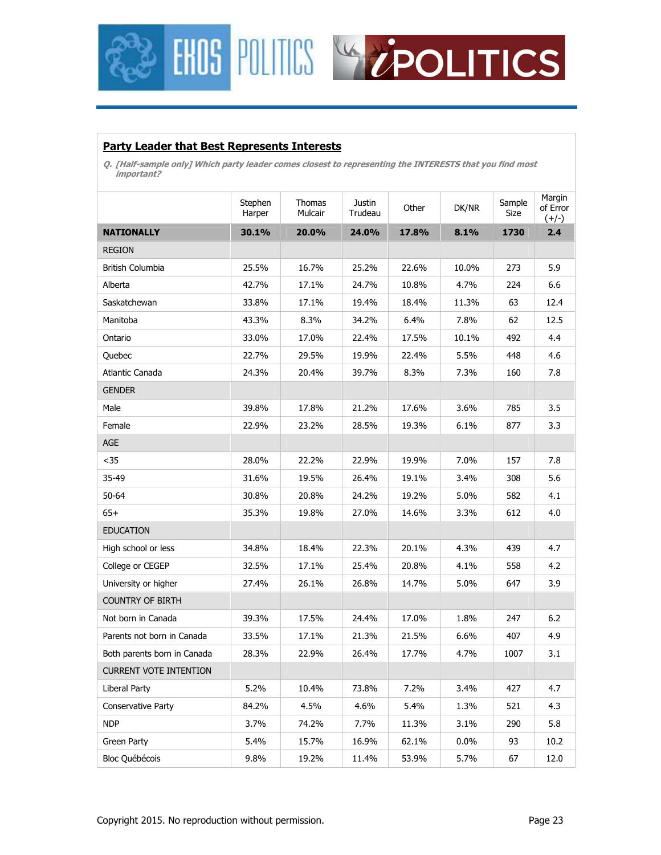



#### **Party Leader that Best Represents Interests**

**Q. [Half-sample only] Which party leader comes closest to representing the INTERESTS that you find most important?** 

|                               | Stephen<br>Harper | Thomas<br>Mulcair | Justin<br>Trudeau | Other | DK/NR   | Sample<br>Size | Margin<br>of Error<br>$(+/-)$ |
|-------------------------------|-------------------|-------------------|-------------------|-------|---------|----------------|-------------------------------|
| <b>NATIONALLY</b>             | 30.1%             | 20.0%             | 24.0%             | 17.8% | 8.1%    | 1730           | 2.4                           |
| <b>REGION</b>                 |                   |                   |                   |       |         |                |                               |
| British Columbia              | 25.5%             | 16.7%             | 25.2%             | 22.6% | 10.0%   | 273            | 5.9                           |
| Alberta                       | 42.7%             | 17.1%             | 24.7%             | 10.8% | 4.7%    | 224            | 6.6                           |
| Saskatchewan                  | 33.8%             | 17.1%             | 19.4%             | 18.4% | 11.3%   | 63             | 12.4                          |
| Manitoba                      | 43.3%             | 8.3%              | 34.2%             | 6.4%  | 7.8%    | 62             | 12.5                          |
| Ontario                       | 33.0%             | 17.0%             | 22.4%             | 17.5% | 10.1%   | 492            | 4.4                           |
| Quebec                        | 22.7%             | 29.5%             | 19.9%             | 22.4% | 5.5%    | 448            | 4.6                           |
| Atlantic Canada               | 24.3%             | 20.4%             | 39.7%             | 8.3%  | 7.3%    | 160            | 7.8                           |
| <b>GENDER</b>                 |                   |                   |                   |       |         |                |                               |
| Male                          | 39.8%             | 17.8%             | 21.2%             | 17.6% | 3.6%    | 785            | 3.5                           |
| Female                        | 22.9%             | 23.2%             | 28.5%             | 19.3% | 6.1%    | 877            | 3.3                           |
| AGE                           |                   |                   |                   |       |         |                |                               |
| $35$                          | 28.0%             | 22.2%             | 22.9%             | 19.9% | 7.0%    | 157            | 7.8                           |
| 35-49                         | 31.6%             | 19.5%             | 26.4%             | 19.1% | 3.4%    | 308            | 5.6                           |
| $50 - 64$                     | 30.8%             | 20.8%             | 24.2%             | 19.2% | 5.0%    | 582            | 4.1                           |
| $65+$                         | 35.3%             | 19.8%             | 27.0%             | 14.6% | 3.3%    | 612            | 4.0                           |
| <b>EDUCATION</b>              |                   |                   |                   |       |         |                |                               |
| High school or less           | 34.8%             | 18.4%             | 22.3%             | 20.1% | 4.3%    | 439            | 4.7                           |
| College or CEGEP              | 32.5%             | 17.1%             | 25.4%             | 20.8% | 4.1%    | 558            | 4.2                           |
| University or higher          | 27.4%             | 26.1%             | 26.8%             | 14.7% | 5.0%    | 647            | 3.9                           |
| <b>COUNTRY OF BIRTH</b>       |                   |                   |                   |       |         |                |                               |
| Not born in Canada            | 39.3%             | 17.5%             | 24.4%             | 17.0% | 1.8%    | 247            | 6.2                           |
| Parents not born in Canada    | 33.5%             | 17.1%             | 21.3%             | 21.5% | 6.6%    | 407            | 4.9                           |
| Both parents born in Canada   | 28.3%             | 22.9%             | 26.4%             | 17.7% | 4.7%    | 1007           | 3.1                           |
| <b>CURRENT VOTE INTENTION</b> |                   |                   |                   |       |         |                |                               |
| Liberal Party                 | 5.2%              | 10.4%             | 73.8%             | 7.2%  | 3.4%    | 427            | 4.7                           |
| <b>Conservative Party</b>     | 84.2%             | 4.5%              | 4.6%              | 5.4%  | 1.3%    | 521            | 4.3                           |
| <b>NDP</b>                    | 3.7%              | 74.2%             | 7.7%              | 11.3% | 3.1%    | 290            | 5.8                           |
| Green Party                   | 5.4%              | 15.7%             | 16.9%             | 62.1% | $0.0\%$ | 93             | 10.2                          |
| Bloc Québécois                | 9.8%              | 19.2%             | 11.4%             | 53.9% | 5.7%    | 67             | 12.0                          |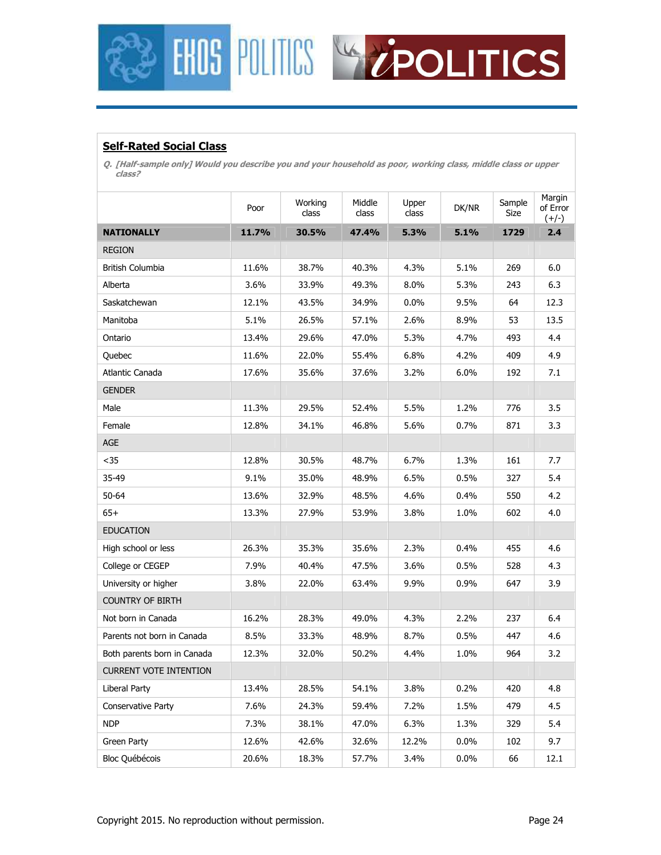



### **Self-Rated Social Class**

**Q. [Half-sample only] Would you describe you and your household as poor, working class, middle class or upper class?** 

|                               | Poor  | Working<br>class | Middle<br>class | Upper<br>class | DK/NR | Sample<br>Size | Margin<br>of Error<br>$(+/-)$ |
|-------------------------------|-------|------------------|-----------------|----------------|-------|----------------|-------------------------------|
| <b>NATIONALLY</b>             | 11.7% | 30.5%            | 47.4%           | 5.3%           | 5.1%  | 1729           | 2.4                           |
| <b>REGION</b>                 |       |                  |                 |                |       |                |                               |
| British Columbia              | 11.6% | 38.7%            | 40.3%           | 4.3%           | 5.1%  | 269            | 6.0                           |
| Alberta                       | 3.6%  | 33.9%            | 49.3%           | 8.0%           | 5.3%  | 243            | 6.3                           |
| Saskatchewan                  | 12.1% | 43.5%            | 34.9%           | 0.0%           | 9.5%  | 64             | 12.3                          |
| Manitoba                      | 5.1%  | 26.5%            | 57.1%           | 2.6%           | 8.9%  | 53             | 13.5                          |
| Ontario                       | 13.4% | 29.6%            | 47.0%           | 5.3%           | 4.7%  | 493            | 4.4                           |
| Quebec                        | 11.6% | 22.0%            | 55.4%           | 6.8%           | 4.2%  | 409            | 4.9                           |
| Atlantic Canada               | 17.6% | 35.6%            | 37.6%           | 3.2%           | 6.0%  | 192            | 7.1                           |
| <b>GENDER</b>                 |       |                  |                 |                |       |                |                               |
| Male                          | 11.3% | 29.5%            | 52.4%           | 5.5%           | 1.2%  | 776            | 3.5                           |
| Female                        | 12.8% | 34.1%            | 46.8%           | 5.6%           | 0.7%  | 871            | 3.3                           |
| AGE                           |       |                  |                 |                |       |                |                               |
| $35$                          | 12.8% | 30.5%            | 48.7%           | 6.7%           | 1.3%  | 161            | 7.7                           |
| 35-49                         | 9.1%  | 35.0%            | 48.9%           | 6.5%           | 0.5%  | 327            | 5.4                           |
| $50 - 64$                     | 13.6% | 32.9%            | 48.5%           | 4.6%           | 0.4%  | 550            | 4.2                           |
| $65+$                         | 13.3% | 27.9%            | 53.9%           | 3.8%           | 1.0%  | 602            | 4.0                           |
| <b>EDUCATION</b>              |       |                  |                 |                |       |                |                               |
| High school or less           | 26.3% | 35.3%            | 35.6%           | 2.3%           | 0.4%  | 455            | 4.6                           |
| College or CEGEP              | 7.9%  | 40.4%            | 47.5%           | 3.6%           | 0.5%  | 528            | 4.3                           |
| University or higher          | 3.8%  | 22.0%            | 63.4%           | 9.9%           | 0.9%  | 647            | 3.9                           |
| <b>COUNTRY OF BIRTH</b>       |       |                  |                 |                |       |                |                               |
| Not born in Canada            | 16.2% | 28.3%            | 49.0%           | 4.3%           | 2.2%  | 237            | 6.4                           |
| Parents not born in Canada    | 8.5%  | 33.3%            | 48.9%           | 8.7%           | 0.5%  | 447            | 4.6                           |
| Both parents born in Canada   | 12.3% | 32.0%            | 50.2%           | 4.4%           | 1.0%  | 964            | 3.2                           |
| <b>CURRENT VOTE INTENTION</b> |       |                  |                 |                |       |                |                               |
| Liberal Party                 | 13.4% | 28.5%            | 54.1%           | 3.8%           | 0.2%  | 420            | 4.8                           |
| Conservative Party            | 7.6%  | 24.3%            | 59.4%           | 7.2%           | 1.5%  | 479            | 4.5                           |
| <b>NDP</b>                    | 7.3%  | 38.1%            | 47.0%           | 6.3%           | 1.3%  | 329            | 5.4                           |
| Green Party                   | 12.6% | 42.6%            | 32.6%           | 12.2%          | 0.0%  | 102            | 9.7                           |
| Bloc Québécois                | 20.6% | 18.3%            | 57.7%           | 3.4%           | 0.0%  | 66             | 12.1                          |